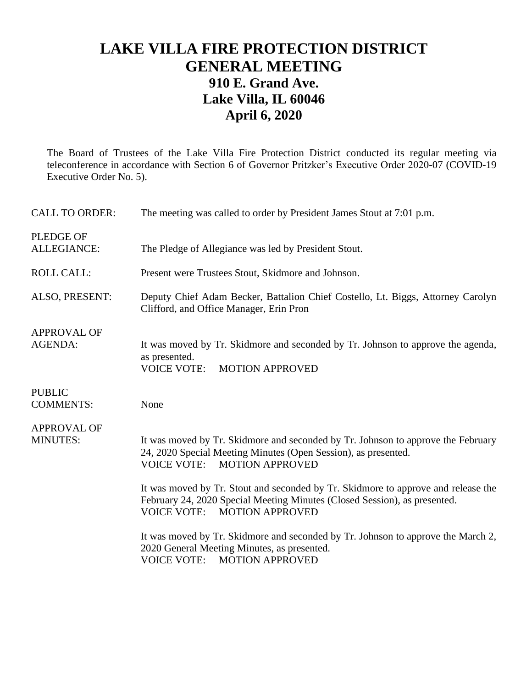## **LAKE VILLA FIRE PROTECTION DISTRICT GENERAL MEETING 910 E. Grand Ave. Lake Villa, IL 60046 April 6, 2020**

The Board of Trustees of the Lake Villa Fire Protection District conducted its regular meeting via teleconference in accordance with Section 6 of Governor Pritzker's Executive Order 2020-07 (COVID-19 Executive Order No. 5).

| <b>CALL TO ORDER:</b>                 | The meeting was called to order by President James Stout at 7:01 p.m.                                                                                                                                |  |  |
|---------------------------------------|------------------------------------------------------------------------------------------------------------------------------------------------------------------------------------------------------|--|--|
| <b>PLEDGE OF</b><br>ALLEGIANCE:       | The Pledge of Allegiance was led by President Stout.                                                                                                                                                 |  |  |
| <b>ROLL CALL:</b>                     | Present were Trustees Stout, Skidmore and Johnson.                                                                                                                                                   |  |  |
| ALSO, PRESENT:                        | Deputy Chief Adam Becker, Battalion Chief Costello, Lt. Biggs, Attorney Carolyn<br>Clifford, and Office Manager, Erin Pron                                                                           |  |  |
| <b>APPROVAL OF</b><br><b>AGENDA:</b>  | It was moved by Tr. Skidmore and seconded by Tr. Johnson to approve the agenda,<br>as presented.<br><b>VOICE VOTE:</b><br><b>MOTION APPROVED</b>                                                     |  |  |
| <b>PUBLIC</b><br><b>COMMENTS:</b>     | None                                                                                                                                                                                                 |  |  |
| <b>APPROVAL OF</b><br><b>MINUTES:</b> | It was moved by Tr. Skidmore and seconded by Tr. Johnson to approve the February<br>24, 2020 Special Meeting Minutes (Open Session), as presented.<br><b>VOICE VOTE:</b><br><b>MOTION APPROVED</b>   |  |  |
|                                       | It was moved by Tr. Stout and seconded by Tr. Skidmore to approve and release the<br>February 24, 2020 Special Meeting Minutes (Closed Session), as presented.<br><b>VOICE VOTE: MOTION APPROVED</b> |  |  |
|                                       | It was moved by Tr. Skidmore and seconded by Tr. Johnson to approve the March 2,<br>2020 General Meeting Minutes, as presented.<br><b>VOICE VOTE:</b><br><b>MOTION APPROVED</b>                      |  |  |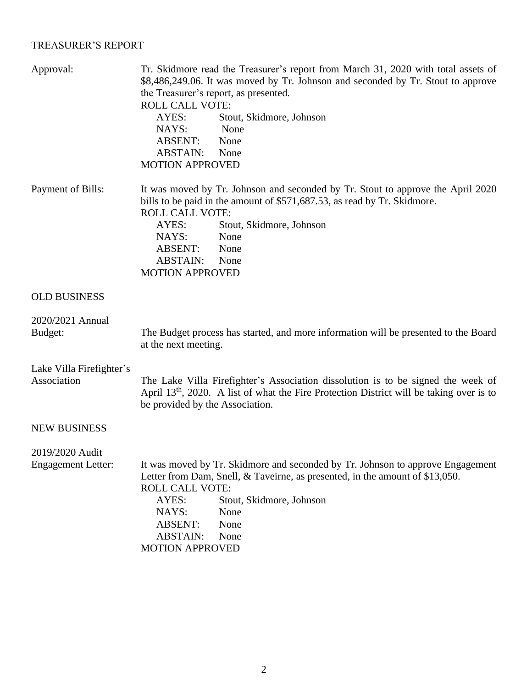## TREASURER'S REPORT

| Approval:                   | Tr. Skidmore read the Treasurer's report from March 31, 2020 with total assets of<br>\$8,486,249.06. It was moved by Tr. Johnson and seconded by Tr. Stout to approve<br>the Treasurer's report, as presented.                |  |  |
|-----------------------------|-------------------------------------------------------------------------------------------------------------------------------------------------------------------------------------------------------------------------------|--|--|
|                             | <b>ROLL CALL VOTE:</b>                                                                                                                                                                                                        |  |  |
|                             | Stout, Skidmore, Johnson<br>AYES:                                                                                                                                                                                             |  |  |
|                             | None<br>NAYS:                                                                                                                                                                                                                 |  |  |
|                             | <b>ABSENT:</b><br>None                                                                                                                                                                                                        |  |  |
|                             | <b>ABSTAIN:</b><br>None                                                                                                                                                                                                       |  |  |
|                             | <b>MOTION APPROVED</b>                                                                                                                                                                                                        |  |  |
| Payment of Bills:           | It was moved by Tr. Johnson and seconded by Tr. Stout to approve the April 2020<br>bills to be paid in the amount of \$571,687.53, as read by Tr. Skidmore.<br><b>ROLL CALL VOTE:</b>                                         |  |  |
|                             | AYES:<br>Stout, Skidmore, Johnson                                                                                                                                                                                             |  |  |
|                             | NAYS:<br>None                                                                                                                                                                                                                 |  |  |
|                             | ABSENT:<br>None                                                                                                                                                                                                               |  |  |
|                             | <b>ABSTAIN:</b><br>None                                                                                                                                                                                                       |  |  |
|                             | <b>MOTION APPROVED</b>                                                                                                                                                                                                        |  |  |
|                             |                                                                                                                                                                                                                               |  |  |
| <b>OLD BUSINESS</b>         |                                                                                                                                                                                                                               |  |  |
| 2020/2021 Annual<br>Budget: | The Budget process has started, and more information will be presented to the Board<br>at the next meeting.                                                                                                                   |  |  |
|                             |                                                                                                                                                                                                                               |  |  |
| Lake Villa Firefighter's    |                                                                                                                                                                                                                               |  |  |
| Association                 | The Lake Villa Firefighter's Association dissolution is to be signed the week of<br>April 13 <sup>th</sup> , 2020. A list of what the Fire Protection District will be taking over is to<br>be provided by the Association.   |  |  |
| <b>NEW BUSINESS</b>         |                                                                                                                                                                                                                               |  |  |
| 2019/2020 Audit             |                                                                                                                                                                                                                               |  |  |
| <b>Engagement Letter:</b>   | It was moved by Tr. Skidmore and seconded by Tr. Johnson to approve Engagement<br>Letter from Dam, Snell, & Taveirne, as presented, in the amount of \$13,050.<br><b>ROLL CALL VOTE:</b><br>AYES:<br>Stout, Skidmore, Johnson |  |  |
|                             | NAYS:<br>None                                                                                                                                                                                                                 |  |  |
|                             |                                                                                                                                                                                                                               |  |  |
|                             | <b>ABSENT:</b><br>None                                                                                                                                                                                                        |  |  |
|                             | <b>ABSTAIN:</b><br>None                                                                                                                                                                                                       |  |  |
|                             | <b>MOTION APPROVED</b>                                                                                                                                                                                                        |  |  |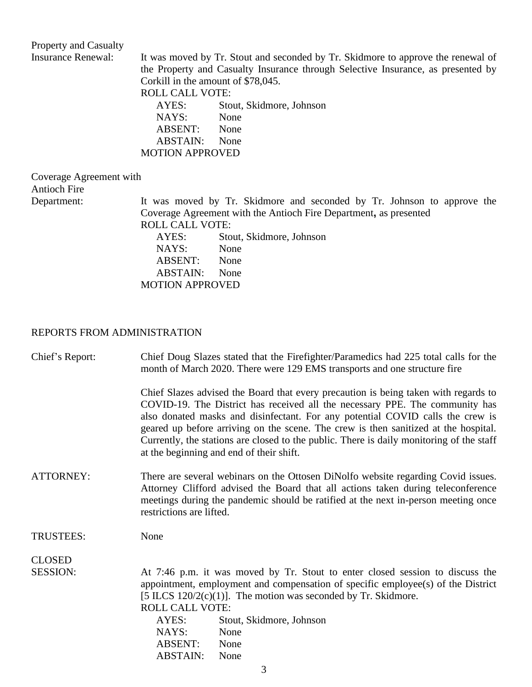## Property and Casualty<br>Insurance Renewal:

It was moved by Tr. Stout and seconded by Tr. Skidmore to approve the renewal of the Property and Casualty Insurance through Selective Insurance, as presented by Corkill in the amount of \$78,045. ROLL CALL VOTE: AYES: Stout, Skidmore, Johnson<br>NAYS: None  $NAYS:$ ABSENT: None ABSTAIN: None

MOTION APPROVED

| Coverage Agreement with<br><b>Antioch Fire</b> |                        |                                                                                                                                              |
|------------------------------------------------|------------------------|----------------------------------------------------------------------------------------------------------------------------------------------|
| Department:                                    | <b>ROLL CALL VOTE:</b> | It was moved by Tr. Skidmore and seconded by Tr. Johnson to approve the<br>Coverage Agreement with the Antioch Fire Department, as presented |
|                                                | AYES:                  | Stout, Skidmore, Johnson                                                                                                                     |
|                                                | NAYS:                  | None                                                                                                                                         |
|                                                | <b>ABSENT:</b>         | None                                                                                                                                         |
|                                                | <b>ABSTAIN:</b>        | None                                                                                                                                         |
|                                                | <b>MOTION APPROVED</b> |                                                                                                                                              |

## REPORTS FROM ADMINISTRATION

| Chief's Report:  | Chief Doug Slazes stated that the Firefighter/Paramedics had 225 total calls for the<br>month of March 2020. There were 129 EMS transports and one structure fire                                                                                                                                                                                                                                                                                                                    |  |  |
|------------------|--------------------------------------------------------------------------------------------------------------------------------------------------------------------------------------------------------------------------------------------------------------------------------------------------------------------------------------------------------------------------------------------------------------------------------------------------------------------------------------|--|--|
|                  | Chief Slazes advised the Board that every precaution is being taken with regards to<br>COVID-19. The District has received all the necessary PPE. The community has<br>also donated masks and disinfectant. For any potential COVID calls the crew is<br>geared up before arriving on the scene. The crew is then sanitized at the hospital.<br>Currently, the stations are closed to the public. There is daily monitoring of the staff<br>at the beginning and end of their shift. |  |  |
| ATTORNEY:        | There are several webinars on the Ottosen DiNolfo website regarding Covid issues.<br>Attorney Clifford advised the Board that all actions taken during teleconference<br>meetings during the pandemic should be ratified at the next in-person meeting once<br>restrictions are lifted.                                                                                                                                                                                              |  |  |
| <b>TRUSTEES:</b> | None                                                                                                                                                                                                                                                                                                                                                                                                                                                                                 |  |  |
| <b>CLOSED</b>    |                                                                                                                                                                                                                                                                                                                                                                                                                                                                                      |  |  |
| <b>SESSION:</b>  | At 7:46 p.m. it was moved by Tr. Stout to enter closed session to discuss the<br>appointment, employment and compensation of specific employee(s) of the District<br>[5 ILCS $120/2(c)(1)$ ]. The motion was seconded by Tr. Skidmore.<br><b>ROLL CALL VOTE:</b><br>Stout, Skidmore, Johnson<br>AYES:<br>NAYS:<br>None<br><b>ABSENT:</b><br>None<br>ABSTAIN:<br>None                                                                                                                 |  |  |